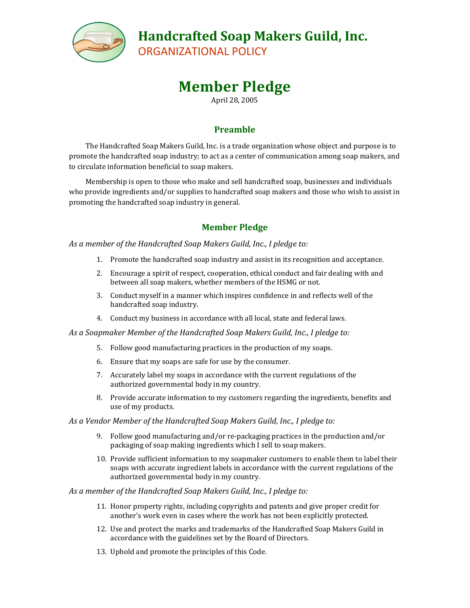

## **Handcrafted Soap Makers Guild, Inc.**

ORGANIZATIONAL POLICY

# **Member Pledge**

April 28, 2005

### **Preamble**

The Handcrafted Soap Makers Guild, Inc. is a trade organization whose object and purpose is to promote the handcrafted soap industry; to act as a center of communication among soap makers, and to circulate information beneficial to soap makers.

Membership is open to those who make and sell handcrafted soap, businesses and individuals who provide ingredients and/or supplies to handcrafted soap makers and those who wish to assist in promoting the handcrafted soap industry in general.

## **Member Pledge**

*As a member of the Handcrafted Soap Makers Guild, Inc., I pledge to:*

- 1. Promote the handcrafted soap industry and assist in its recognition and acceptance.
- 2. Encourage a spirit of respect, cooperation, ethical conduct and fair dealing with and between all soap makers, whether members of the HSMG or not.
- 3. Conduct myself in a manner which inspires confidence in and reflects well of the handcrafted soap industry.
- 4. Conduct my business in accordance with all local, state and federal laws.

*As a Soapmaker Member of the Handcrafted Soap Makers Guild, Inc., I pledge to:*

- 5. Follow good manufacturing practices in the production of my soaps.
- 6. Ensure that my soaps are safe for use by the consumer.
- 7. Accurately label my soaps in accordance with the current regulations of the authorized governmental body in my country.
- 8. Provide accurate information to my customers regarding the ingredients, benefits and use of my products.

### *As a Vendor Member of the Handcrafted Soap Makers Guild, Inc., I pledge to:*

- 9. Follow good manufacturing and/or re-packaging practices in the production and/or packaging of soap making ingredients which I sell to soap makers.
- 10. Provide sufficient information to my soapmaker customers to enable them to label their soaps with accurate ingredient labels in accordance with the current regulations of the authorized governmental body in my country.

### *As a member of the Handcrafted Soap Makers Guild, Inc., I pledge to:*

- 11. Honor property rights, including copyrights and patents and give proper credit for another's work even in cases where the work has not been explicitly protected.
- 12. Use and protect the marks and trademarks of the Handcrafted Soap Makers Guild in accordance with the guidelines set by the Board of Directors.
- 13. Uphold and promote the principles of this Code.